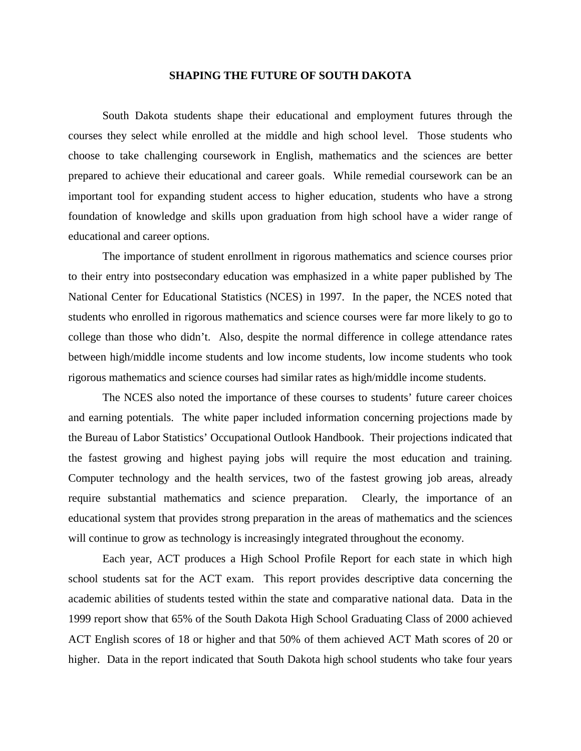## **SHAPING THE FUTURE OF SOUTH DAKOTA**

South Dakota students shape their educational and employment futures through the courses they select while enrolled at the middle and high school level. Those students who choose to take challenging coursework in English, mathematics and the sciences are better prepared to achieve their educational and career goals. While remedial coursework can be an important tool for expanding student access to higher education, students who have a strong foundation of knowledge and skills upon graduation from high school have a wider range of educational and career options.

The importance of student enrollment in rigorous mathematics and science courses prior to their entry into postsecondary education was emphasized in a white paper published by The National Center for Educational Statistics (NCES) in 1997. In the paper, the NCES noted that students who enrolled in rigorous mathematics and science courses were far more likely to go to college than those who didn't. Also, despite the normal difference in college attendance rates between high/middle income students and low income students, low income students who took rigorous mathematics and science courses had similar rates as high/middle income students.

The NCES also noted the importance of these courses to students' future career choices and earning potentials. The white paper included information concerning projections made by the Bureau of Labor Statistics' Occupational Outlook Handbook. Their projections indicated that the fastest growing and highest paying jobs will require the most education and training. Computer technology and the health services, two of the fastest growing job areas, already require substantial mathematics and science preparation. Clearly, the importance of an educational system that provides strong preparation in the areas of mathematics and the sciences will continue to grow as technology is increasingly integrated throughout the economy.

Each year, ACT produces a High School Profile Report for each state in which high school students sat for the ACT exam. This report provides descriptive data concerning the academic abilities of students tested within the state and comparative national data. Data in the 1999 report show that 65% of the South Dakota High School Graduating Class of 2000 achieved ACT English scores of 18 or higher and that 50% of them achieved ACT Math scores of 20 or higher. Data in the report indicated that South Dakota high school students who take four years